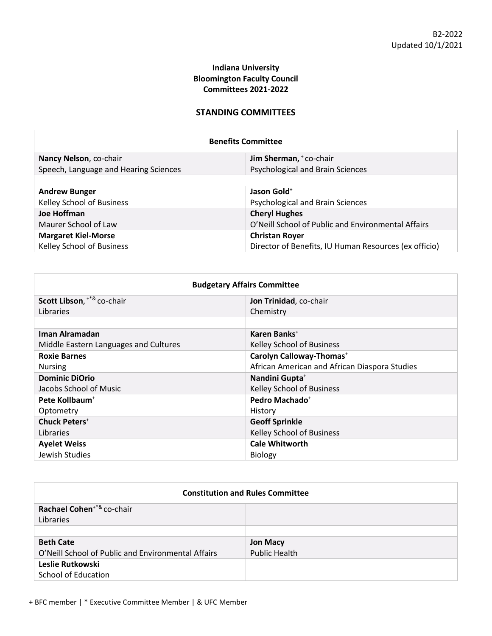# **Indiana University Bloomington Faculty Council Committees 2021-2022**

## **STANDING COMMITTEES**

| <b>Benefits Committee</b>             |                                                       |  |
|---------------------------------------|-------------------------------------------------------|--|
| Nancy Nelson, co-chair                | Jim Sherman, + co-chair                               |  |
| Speech, Language and Hearing Sciences | Psychological and Brain Sciences                      |  |
|                                       |                                                       |  |
| <b>Andrew Bunger</b>                  | Jason Gold <sup>+</sup>                               |  |
| Kelley School of Business             | Psychological and Brain Sciences                      |  |
| Joe Hoffman                           | <b>Cheryl Hughes</b>                                  |  |
| Maurer School of Law                  | O'Neill School of Public and Environmental Affairs    |  |
| <b>Margaret Kiel-Morse</b>            | <b>Christan Royer</b>                                 |  |
| Kelley School of Business             | Director of Benefits, IU Human Resources (ex officio) |  |

| <b>Budgetary Affairs Committee</b>    |                                               |
|---------------------------------------|-----------------------------------------------|
| Scott Libson, ** & co-chair           | Jon Trinidad, co-chair                        |
| Libraries                             | Chemistry                                     |
|                                       |                                               |
| Iman Alramadan                        | Karen Banks <sup>+</sup>                      |
| Middle Eastern Languages and Cultures | Kelley School of Business                     |
| <b>Roxie Barnes</b>                   | Carolyn Calloway-Thomas <sup>+</sup>          |
| <b>Nursing</b>                        | African American and African Diaspora Studies |
| <b>Dominic DiOrio</b>                 | Nandini Gupta <sup>+</sup>                    |
| Jacobs School of Music                | Kelley School of Business                     |
| Pete Kollbaum <sup>+</sup>            | Pedro Machado <sup>+</sup>                    |
| Optometry                             | History                                       |
| <b>Chuck Peters</b> <sup>+</sup>      | <b>Geoff Sprinkle</b>                         |
| Libraries                             | Kelley School of Business                     |
| <b>Ayelet Weiss</b>                   | <b>Cale Whitworth</b>                         |
| Jewish Studies                        | <b>Biology</b>                                |

| <b>Constitution and Rules Committee</b>            |                      |
|----------------------------------------------------|----------------------|
| Rachael Cohen <sup>+*&amp;</sup> co-chair          |                      |
| Libraries                                          |                      |
|                                                    |                      |
| <b>Beth Cate</b>                                   | <b>Jon Macy</b>      |
| O'Neill School of Public and Environmental Affairs | <b>Public Health</b> |
| Leslie Rutkowski                                   |                      |
| <b>School of Education</b>                         |                      |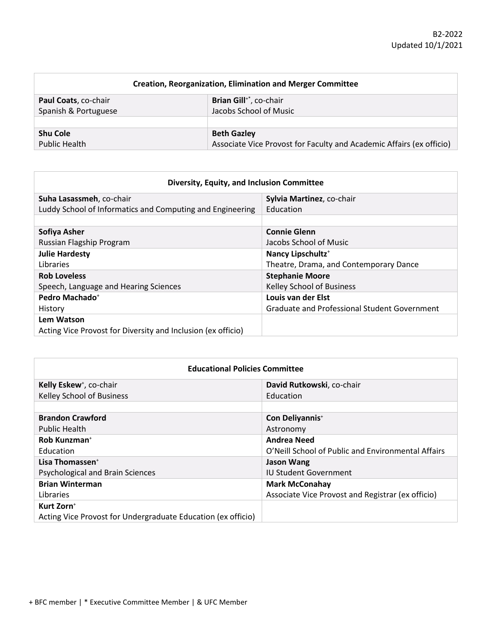| <b>Creation, Reorganization, Elimination and Merger Committee</b> |                                                                      |
|-------------------------------------------------------------------|----------------------------------------------------------------------|
| Paul Coats, co-chair                                              | Brian Gill <sup>+*</sup> , co-chair                                  |
| Spanish & Portuguese                                              | Jacobs School of Music                                               |
|                                                                   |                                                                      |
| <b>Shu Cole</b>                                                   | <b>Beth Gazley</b>                                                   |
| <b>Public Health</b>                                              | Associate Vice Provost for Faculty and Academic Affairs (ex officio) |

| Diversity, Equity, and Inclusion Committee                   |                                                     |  |
|--------------------------------------------------------------|-----------------------------------------------------|--|
| Suha Lasassmeh, co-chair                                     | Sylvia Martinez, co-chair                           |  |
| Luddy School of Informatics and Computing and Engineering    | Education                                           |  |
|                                                              |                                                     |  |
| Sofiya Asher                                                 | <b>Connie Glenn</b>                                 |  |
| Russian Flagship Program                                     | Jacobs School of Music                              |  |
| <b>Julie Hardesty</b>                                        | Nancy Lipschultz <sup>+</sup>                       |  |
| Libraries                                                    | Theatre, Drama, and Contemporary Dance              |  |
| <b>Rob Loveless</b>                                          | <b>Stephanie Moore</b>                              |  |
| Speech, Language and Hearing Sciences                        | Kelley School of Business                           |  |
| Pedro Machado <sup>+</sup>                                   | Louis van der Elst                                  |  |
| History                                                      | <b>Graduate and Professional Student Government</b> |  |
| Lem Watson                                                   |                                                     |  |
| Acting Vice Provost for Diversity and Inclusion (ex officio) |                                                     |  |

| <b>Educational Policies Committee</b>                        |                                                    |
|--------------------------------------------------------------|----------------------------------------------------|
| Kelly Eskew <sup>+</sup> , co-chair                          | David Rutkowski, co-chair                          |
| <b>Kelley School of Business</b>                             | Education                                          |
|                                                              |                                                    |
| <b>Brandon Crawford</b>                                      | Con Deliyannis <sup>+</sup>                        |
| Public Health                                                | Astronomy                                          |
| Rob Kunzman <sup>+</sup>                                     | <b>Andrea Need</b>                                 |
| <b>Education</b>                                             | O'Neill School of Public and Environmental Affairs |
| Lisa Thomassen <sup>+</sup>                                  | <b>Jason Wang</b>                                  |
| Psychological and Brain Sciences                             | <b>IU Student Government</b>                       |
| <b>Brian Winterman</b>                                       | <b>Mark McConahay</b>                              |
| Libraries                                                    | Associate Vice Provost and Registrar (ex officio)  |
| Kurt Zorn <sup>+</sup>                                       |                                                    |
| Acting Vice Provost for Undergraduate Education (ex officio) |                                                    |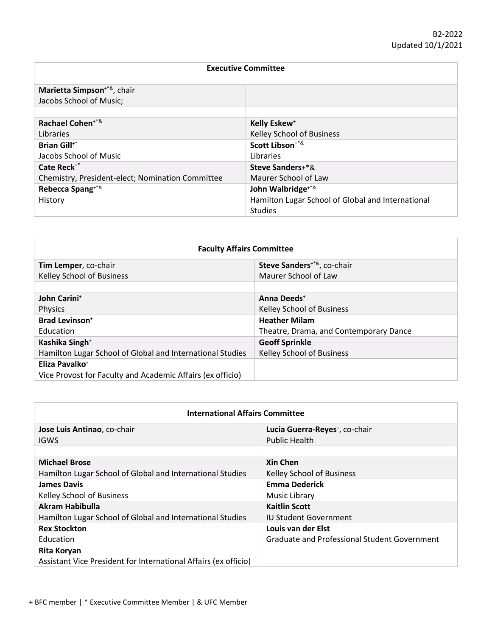| <b>Executive Committee</b>                       |                                                   |
|--------------------------------------------------|---------------------------------------------------|
| Marietta Simpson <sup>+*&amp;</sup> , chair      |                                                   |
| Jacobs School of Music;                          |                                                   |
| Rachael Cohen <sup>+*&amp;</sup>                 | Kelly Eskew <sup>+</sup>                          |
| Libraries                                        | Kelley School of Business                         |
| <b>Brian Gill</b> <sup>**</sup>                  | Scott Libson <sup>+*&amp;</sup>                   |
| Jacobs School of Music                           | Libraries                                         |
| Cate Reck <sup>+*</sup>                          | <b>Steve Sanders+*&amp;</b>                       |
| Chemistry, President-elect; Nomination Committee | Maurer School of Law                              |
| Rebecca Spang <sup>+*&amp;</sup>                 | John Walbridge <sup>+*&amp;</sup>                 |
| History                                          | Hamilton Lugar School of Global and International |
|                                                  | <b>Studies</b>                                    |

| <b>Faculty Affairs Committee</b>                           |                                             |
|------------------------------------------------------------|---------------------------------------------|
| Tim Lemper, co-chair                                       | Steve Sanders <sup>+*&amp;</sup> , co-chair |
| Kelley School of Business                                  | Maurer School of Law                        |
|                                                            |                                             |
| John Carini <sup>+</sup>                                   | Anna Deeds <sup>+</sup>                     |
| <b>Physics</b>                                             | Kelley School of Business                   |
| <b>Brad Levinson</b> <sup>+</sup>                          | <b>Heather Milam</b>                        |
| <b>Education</b>                                           | Theatre, Drama, and Contemporary Dance      |
| Kashika Singh <sup>+</sup>                                 | <b>Geoff Sprinkle</b>                       |
| Hamilton Lugar School of Global and International Studies  | Kelley School of Business                   |
| Eliza Pavalko <sup>+</sup>                                 |                                             |
| Vice Provost for Faculty and Academic Affairs (ex officio) |                                             |

| <b>International Affairs Committee</b>                          |                                                     |  |
|-----------------------------------------------------------------|-----------------------------------------------------|--|
| Jose Luis Antinao, co-chair                                     | Lucia Guerra-Reyes <sup>+</sup> , co-chair          |  |
| <b>IGWS</b>                                                     | <b>Public Health</b>                                |  |
|                                                                 |                                                     |  |
| <b>Michael Brose</b>                                            | <b>Xin Chen</b>                                     |  |
| Hamilton Lugar School of Global and International Studies       | Kelley School of Business                           |  |
| <b>James Davis</b>                                              | <b>Emma Dederick</b>                                |  |
| Kelley School of Business                                       | Music Library                                       |  |
| Akram Habibulla                                                 | <b>Kaitlin Scott</b>                                |  |
| Hamilton Lugar School of Global and International Studies       | <b>IU Student Government</b>                        |  |
| <b>Rex Stockton</b>                                             | Louis van der Elst                                  |  |
| Education                                                       | <b>Graduate and Professional Student Government</b> |  |
| <b>Rita Koryan</b>                                              |                                                     |  |
| Assistant Vice President for International Affairs (ex officio) |                                                     |  |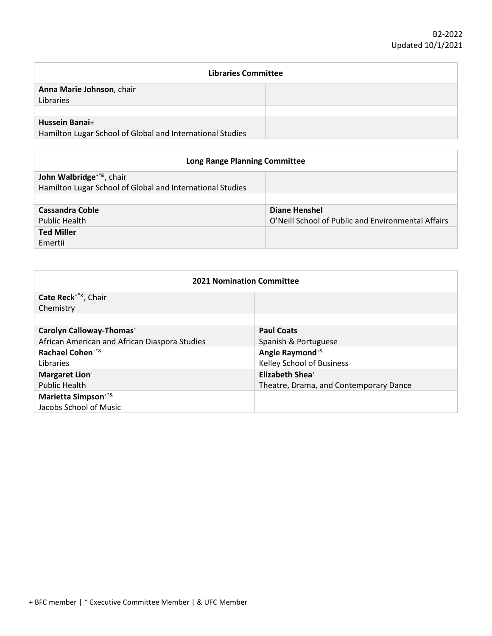| <b>Libraries Committee</b>                                |  |
|-----------------------------------------------------------|--|
| Anna Marie Johnson, chair<br>Libraries                    |  |
|                                                           |  |
| <b>Hussein Banai+</b>                                     |  |
| Hamilton Lugar School of Global and International Studies |  |

| <b>Long Range Planning Committee</b>                                                                   |                                                    |
|--------------------------------------------------------------------------------------------------------|----------------------------------------------------|
| John Walbridge <sup>+*&amp;</sup> , chair<br>Hamilton Lugar School of Global and International Studies |                                                    |
|                                                                                                        |                                                    |
| Cassandra Coble                                                                                        | Diane Henshel                                      |
| Public Health                                                                                          | O'Neill School of Public and Environmental Affairs |
| <b>Ted Miller</b>                                                                                      |                                                    |
| Emertii                                                                                                |                                                    |

| <b>2021 Nomination Committee</b>              |                                        |
|-----------------------------------------------|----------------------------------------|
| Cate Reck <sup>+*&amp;</sup> , Chair          |                                        |
| Chemistry                                     |                                        |
|                                               |                                        |
| Carolyn Calloway-Thomas <sup>+</sup>          | <b>Paul Coats</b>                      |
| African American and African Diaspora Studies | Spanish & Portuguese                   |
| Rachael Cohen <sup>+*&amp;</sup>              | Angie Raymond <sup>+&amp;</sup>        |
| Libraries                                     | Kelley School of Business              |
| <b>Margaret Lion+</b>                         | <b>Elizabeth Shea</b> +                |
| <b>Public Health</b>                          | Theatre, Drama, and Contemporary Dance |
| Marietta Simpson <sup>+*&amp;</sup>           |                                        |
| Jacobs School of Music                        |                                        |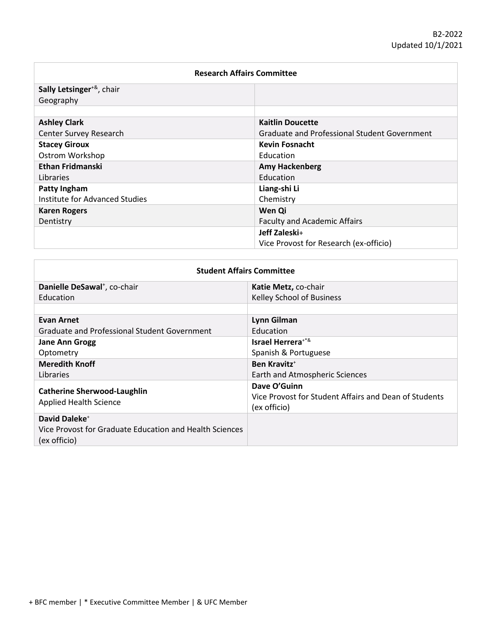| <b>Research Affairs Committee</b>         |                                              |
|-------------------------------------------|----------------------------------------------|
| Sally Letsinger <sup>+&amp;</sup> , chair |                                              |
| Geography                                 |                                              |
|                                           |                                              |
| <b>Ashley Clark</b>                       | <b>Kaitlin Doucette</b>                      |
| Center Survey Research                    | Graduate and Professional Student Government |
| <b>Stacey Giroux</b>                      | <b>Kevin Fosnacht</b>                        |
| Ostrom Workshop                           | Education                                    |
| <b>Ethan Fridmanski</b>                   | <b>Amy Hackenberg</b>                        |
| Libraries                                 | Education                                    |
| Patty Ingham                              | Liang-shi Li                                 |
| Institute for Advanced Studies            | Chemistry                                    |
| <b>Karen Rogers</b>                       | Wen Qi                                       |
| Dentistry                                 | <b>Faculty and Academic Affairs</b>          |
|                                           | Jeff Zaleski+                                |
|                                           | Vice Provost for Research (ex-officio)       |

| <b>Student Affairs Committee</b>                                                                     |                                                                                       |
|------------------------------------------------------------------------------------------------------|---------------------------------------------------------------------------------------|
| Danielle DeSawal <sup>+</sup> , co-chair                                                             | Katie Metz, co-chair                                                                  |
| Education                                                                                            | <b>Kelley School of Business</b>                                                      |
|                                                                                                      |                                                                                       |
| <b>Evan Arnet</b>                                                                                    | Lynn Gilman                                                                           |
| Graduate and Professional Student Government                                                         | <b>Education</b>                                                                      |
| <b>Jane Ann Grogg</b>                                                                                | Israel Herrera <sup>+*&amp;</sup>                                                     |
| Optometry                                                                                            | Spanish & Portuguese                                                                  |
| <b>Meredith Knoff</b>                                                                                | <b>Ben Kravitz</b> <sup>+</sup>                                                       |
| Libraries                                                                                            | Earth and Atmospheric Sciences                                                        |
| <b>Catherine Sherwood-Laughlin</b><br><b>Applied Health Science</b>                                  | Dave O'Guinn<br>Vice Provost for Student Affairs and Dean of Students<br>(ex officio) |
| David Daleke <sup>+</sup><br>Vice Provost for Graduate Education and Health Sciences<br>(ex officio) |                                                                                       |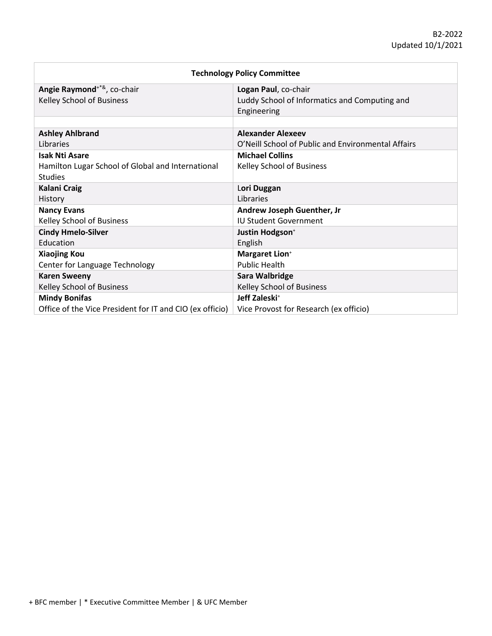| <b>Technology Policy Committee</b>                       |                                                    |
|----------------------------------------------------------|----------------------------------------------------|
| Angie Raymond <sup>+*&amp;</sup> , co-chair              | Logan Paul, co-chair                               |
| Kelley School of Business                                | Luddy School of Informatics and Computing and      |
|                                                          | Engineering                                        |
|                                                          |                                                    |
| <b>Ashley Ahlbrand</b>                                   | <b>Alexander Alexeev</b>                           |
| Libraries                                                | O'Neill School of Public and Environmental Affairs |
| <b>Isak Nti Asare</b>                                    | <b>Michael Collins</b>                             |
| Hamilton Lugar School of Global and International        | Kelley School of Business                          |
| <b>Studies</b>                                           |                                                    |
| <b>Kalani Craig</b>                                      | Lori Duggan                                        |
| History                                                  | Libraries                                          |
| <b>Nancy Evans</b>                                       | Andrew Joseph Guenther, Jr                         |
| Kelley School of Business                                | <b>IU Student Government</b>                       |
| <b>Cindy Hmelo-Silver</b>                                | Justin Hodgson <sup>+</sup>                        |
| Education                                                | English                                            |
| <b>Xiaojing Kou</b>                                      | <b>Margaret Lion*</b>                              |
| Center for Language Technology                           | <b>Public Health</b>                               |
| <b>Karen Sweeny</b>                                      | Sara Walbridge                                     |
| Kelley School of Business                                | <b>Kelley School of Business</b>                   |
| <b>Mindy Bonifas</b>                                     | Jeff Zaleski <sup>+</sup>                          |
| Office of the Vice President for IT and CIO (ex officio) | Vice Provost for Research (ex officio)             |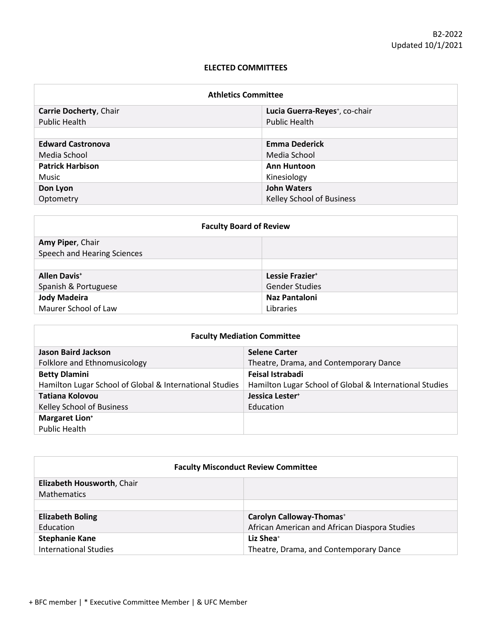#### **ELECTED COMMITTEES**

| <b>Athletics Committee</b> |                                            |  |
|----------------------------|--------------------------------------------|--|
| Carrie Docherty, Chair     | Lucia Guerra-Reyes <sup>+</sup> , co-chair |  |
| <b>Public Health</b>       | <b>Public Health</b>                       |  |
|                            |                                            |  |
| <b>Edward Castronova</b>   | <b>Emma Dederick</b>                       |  |
| Media School               | Media School                               |  |
| <b>Patrick Harbison</b>    | <b>Ann Huntoon</b>                         |  |
| Music                      | Kinesiology                                |  |
| Don Lyon                   | <b>John Waters</b>                         |  |
| Optometry                  | Kelley School of Business                  |  |

| <b>Faculty Board of Review</b>  |                             |  |
|---------------------------------|-----------------------------|--|
| Amy Piper, Chair                |                             |  |
| Speech and Hearing Sciences     |                             |  |
|                                 |                             |  |
| <b>Allen Davis</b> <sup>+</sup> | Lessie Frazier <sup>+</sup> |  |
| Spanish & Portuguese            | <b>Gender Studies</b>       |  |
| <b>Jody Madeira</b>             | Naz Pantaloni               |  |
| Maurer School of Law            | Libraries                   |  |

| <b>Faculty Mediation Committee</b>                      |                                                         |
|---------------------------------------------------------|---------------------------------------------------------|
| Jason Baird Jackson                                     | <b>Selene Carter</b>                                    |
| Folklore and Ethnomusicology                            | Theatre, Drama, and Contemporary Dance                  |
| <b>Betty Dlamini</b>                                    | Feisal Istrabadi                                        |
| Hamilton Lugar School of Global & International Studies | Hamilton Lugar School of Global & International Studies |
| Tatiana Kolovou                                         | Jessica Lester <sup>+</sup>                             |
| Kelley School of Business                               | Education                                               |
| <b>Margaret Lion*</b>                                   |                                                         |
| <b>Public Health</b>                                    |                                                         |

| <b>Faculty Misconduct Review Committee</b> |                                               |
|--------------------------------------------|-----------------------------------------------|
| Elizabeth Housworth, Chair                 |                                               |
| <b>Mathematics</b>                         |                                               |
|                                            |                                               |
| <b>Elizabeth Boling</b>                    | Carolyn Calloway-Thomas <sup>+</sup>          |
| <b>Education</b>                           | African American and African Diaspora Studies |
| <b>Stephanie Kane</b>                      | Liz Shea <sup>+</sup>                         |
| <b>International Studies</b>               | Theatre, Drama, and Contemporary Dance        |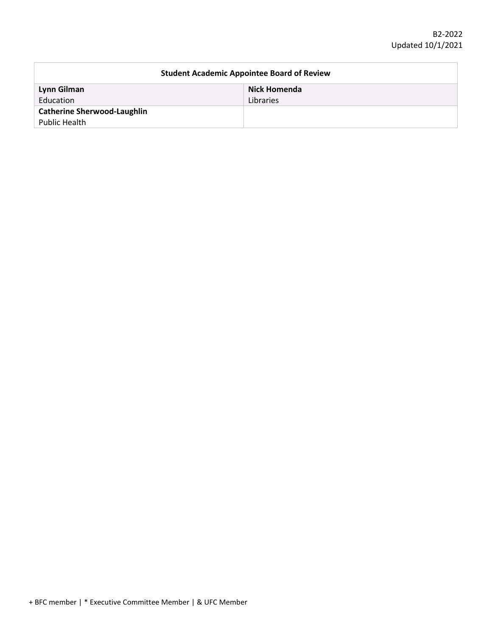| <b>Student Academic Appointee Board of Review</b> |              |
|---------------------------------------------------|--------------|
| Lynn Gilman                                       | Nick Homenda |
| Education                                         | Libraries    |
| <b>Catherine Sherwood-Laughlin</b>                |              |
| Public Health                                     |              |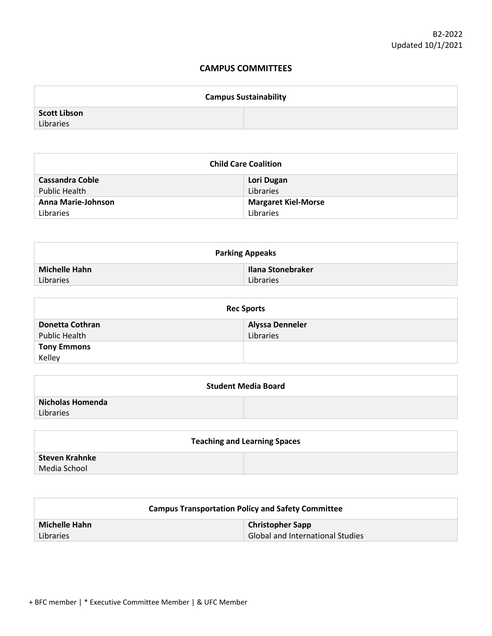### **CAMPUS COMMITTEES**

| <b>Campus Sustainability</b> |  |
|------------------------------|--|
| <b>Scott Libson</b>          |  |
| Libraries                    |  |

| <b>Child Care Coalition</b> |                            |
|-----------------------------|----------------------------|
| Cassandra Coble             | Lori Dugan                 |
| <b>Public Health</b>        | Libraries                  |
| Anna Marie-Johnson          | <b>Margaret Kiel-Morse</b> |
| Libraries                   | Libraries                  |

| <b>Parking Appeaks</b> |                   |
|------------------------|-------------------|
| <b>Michelle Hahn</b>   | Ilana Stonebraker |
| Libraries              | Libraries         |

| <b>Rec Sports</b>  |                        |
|--------------------|------------------------|
| Donetta Cothran    | <b>Alyssa Denneler</b> |
| Public Health      | Libraries              |
| <b>Tony Emmons</b> |                        |
| Kelley             |                        |

| <b>Student Media Board</b> |  |  |
|----------------------------|--|--|
| Nicholas Homenda           |  |  |
| Libraries                  |  |  |

| <b>Teaching and Learning Spaces</b> |  |  |
|-------------------------------------|--|--|
| Steven Krahnke                      |  |  |
| Media School                        |  |  |

| <b>Campus Transportation Policy and Safety Committee</b> |                                         |
|----------------------------------------------------------|-----------------------------------------|
| Michelle Hahn                                            | <b>Christopher Sapp</b>                 |
| Libraries                                                | <b>Global and International Studies</b> |